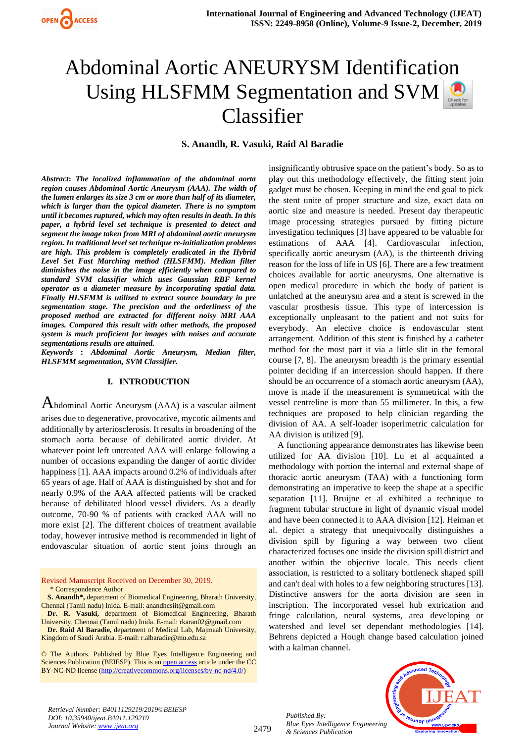# Abdominal Aortic ANEURYSM Identification Using HLSFMM Segmentation and SVM Classifier

**S. Anandh, R. Vasuki, Raid Al Baradie** 

*Abstract***:** *The localized inflammation of the abdominal aorta region causes Abdominal Aortic Aneurysm (AAA). The width of the lumen enlarges its size 3 cm or more than half of its diameter, which is larger than the typical diameter. There is no symptom until it becomes ruptured, which may often results in death. In this paper, a hybrid level set technique is presented to detect and segment the image taken from MRI of abdominal aortic aneurysm region. In traditional level set technique re-initialization problems are high. This problem is completely eradicated in the Hybrid Level Set Fast Marching method (HLSFMM). Median filter diminishes the noise in the image efficiently when compared to standard SVM classifier which uses Gaussian RBF kernel operator as a diameter measure by incorporating spatial data. Finally HLSFMM is utilized to extract source boundary in pre segmentation stage. The precision and the orderliness of the proposed method are extracted for different noisy MRI AAA images. Compared this result with other methods, the proposed system is much proficient for images with noises and accurate segmentations results are attained.*

*Keywords* **:** *Abdominal Aortic Aneurysm, Median filter, HLSFMM segmentation, SVM Classifier.* 

## **I. INTRODUCTION**

 $A$ bdominal Aortic Aneurysm (AAA) is a vascular ailment arises due to degenerative, provocative, mycotic ailments and additionally by arteriosclerosis. It results in broadening of the stomach aorta because of debilitated aortic divider. At whatever point left untreated AAA will enlarge following a number of occasions expanding the danger of aortic divider happiness [1]. AAA impacts around 0.2% of individuals after 65 years of age. Half of AAA is distinguished by shot and for nearly 0.9% of the AAA affected patients will be cracked because of debilitated blood vessel dividers. As a deadly outcome, 70-90 % of patients with cracked AAA will no more exist [2]. The different choices of treatment available today, however intrusive method is recommended in light of endovascular situation of aortic stent joins through an

Revised Manuscript Received on December 30, 2019. \* Correspondence Author

**Dr. Raid Al Baradie,** department of Medical Lab, Majmaah University, Kingdom of Saudi Arabia. E-mail: r.albaradie@mu.edu.sa

© The Authors. Published by Blue Eyes Intelligence Engineering and Sciences Publication (BEIESP). This is a[n open access](https://www.openaccess.nl/en/open-publications) article under the CC BY-NC-ND license [\(http://creativecommons.org/licenses/by-nc-nd/4.0/\)](http://creativecommons.org/licenses/by-nc-nd/4.0/)

insignificantly obtrusive space on the patient's body. So as to play out this methodology effectively, the fitting stent join gadget must be chosen. Keeping in mind the end goal to pick the stent unite of proper structure and size, exact data on aortic size and measure is needed. Present day therapeutic image processing strategies pursued by fitting picture investigation techniques [3] have appeared to be valuable for estimations of AAA [4]. Cardiovascular infection, specifically aortic aneurysm (AA), is the thirteenth driving reason for the loss of life in US [6]. There are a few treatment choices available for aortic aneurysms. One alternative is open medical procedure in which the body of patient is unlatched at the aneurysm area and a stent is screwed in the vascular prosthesis tissue. This type of intercession is exceptionally unpleasant to the patient and not suits for everybody. An elective choice is endovascular stent arrangement. Addition of this stent is finished by a catheter method for the most part it via a little slit in the femoral course [7, 8]. The aneurysm breadth is the primary essential pointer deciding if an intercession should happen. If there should be an occurrence of a stomach aortic aneurysm (AA), move is made if the measurement is symmetrical with the vessel centreline is more than 55 millimeter. In this, a few techniques are proposed to help clinician regarding the division of AA. A self-loader isoperimetric calculation for AA division is utilized [9].

A functioning appearance demonstrates has likewise been utilized for AA division [10]. Lu et al acquainted a methodology with portion the internal and external shape of thoracic aortic aneurysm (TAA) with a functioning form demonstrating an imperative to keep the shape at a specific separation [11]. Bruijne et al exhibited a technique to fragment tubular structure in light of dynamic visual model and have been connected it to AAA division [12]. Heiman et al. depict a strategy that unequivocally distinguishes a division spill by figuring a way between two client characterized focuses one inside the division spill district and another within the objective locale. This needs client association, is restricted to a solitary bottleneck shaped spill and can't deal with holes to a few neighboring structures [13]. Distinctive answers for the aorta division are seen in inscription. The incorporated vessel hub extrication and fringe calculation, neural systems, area developing or watershed and level set dependant methodologies [14]. Behrens depicted a Hough change based calculation joined with a kalman channel.



*Retrieval Number: B4011129219/2019©BEIESP DOI: 10.35940/ijeat.B4011.129219 Journal Website[: www.ijeat.org](http://www.ijeat.org/)*

2479

**S. Anandh\*,** department of Biomedical Engineering, Bharath University, Chennai (Tamil nadu) Inida. E-mail: anandhcsiit@gmail.com

**Dr. R. Vasuki,** department of Biomedical Engineering, Bharath University, Chennai (Tamil nadu) Inida. E-mail: rkaran02@gmail.com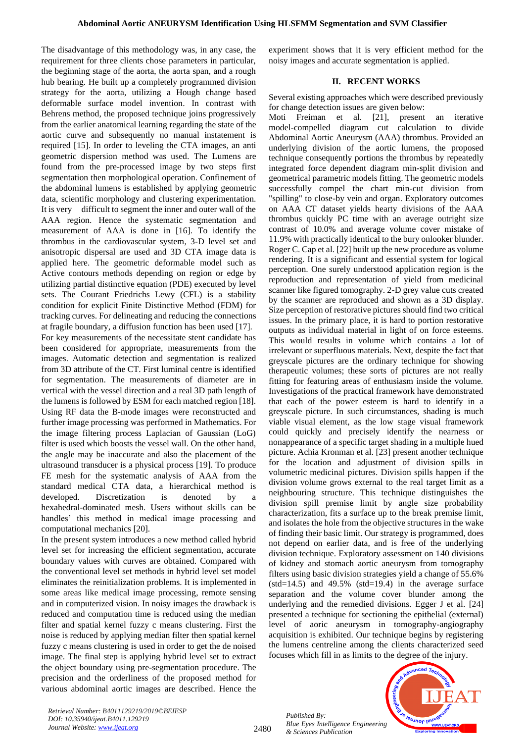The disadvantage of this methodology was, in any case, the requirement for three clients chose parameters in particular, the beginning stage of the aorta, the aorta span, and a rough hub bearing. He built up a completely programmed division strategy for the aorta, utilizing a Hough change based deformable surface model invention. In contrast with Behrens method, the proposed technique joins progressively from the earlier anatomical learning regarding the state of the aortic curve and subsequently no manual instatement is required [15]. In order to leveling the CTA images, an anti geometric dispersion method was used. The Lumens are found from the pre-processed image by two steps first segmentation then morphological operation. Confinement of the abdominal lumens is established by applying geometric data, scientific morphology and clustering experimentation. It is very difficult to segment the inner and outer wall of the AAA region. Hence the systematic segmentation and measurement of AAA is done in [16]. To identify the thrombus in the cardiovascular system, 3-D level set and anisotropic dispersal are used and 3D CTA image data is applied here. The geometric deformable model such as Active contours methods depending on region or edge by utilizing partial distinctive equation (PDE) executed by level sets. The Courant Friedrichs Lewy (CFL) is a stability condition for explicit Finite Distinctive Method (FDM) for tracking curves. For delineating and reducing the connections at fragile boundary, a diffusion function has been used [17]. For key measurements of the necessitate stent candidate has been considered for appropriate, measurements from the images. Automatic detection and segmentation is realized from 3D attribute of the CT. First luminal centre is identified for segmentation. The measurements of diameter are in vertical with the vessel direction and a real 3D path length of the lumens is followed by ESM for each matched region [18]. Using RF data the B-mode images were reconstructed and further image processing was performed in Mathematics. For the image filtering process Laplacian of Gaussian (LoG) filter is used which boosts the vessel wall. On the other hand, the angle may be inaccurate and also the placement of the ultrasound transducer is a physical process [19]. To produce FE mesh for the systematic analysis of AAA from the standard medical CTA data, a hierarchical method is developed. Discretization is denoted by hexahedral-dominated mesh. Users without skills can be handles' this method in medical image processing and computational mechanics [20].

In the present system introduces a new method called hybrid level set for increasing the efficient segmentation, accurate boundary values with curves are obtained. Compared with the conventional level set methods in hybrid level set model eliminates the reinitialization problems. It is implemented in some areas like medical image processing, remote sensing and in computerized vision. In noisy images the drawback is reduced and computation time is reduced using the median filter and spatial kernel fuzzy c means clustering. First the noise is reduced by applying median filter then spatial kernel fuzzy c means clustering is used in order to get the de noised image. The final step is applying hybrid level set to extract the object boundary using pre-segmentation procedure. The precision and the orderliness of the proposed method for various abdominal aortic images are described. Hence the experiment shows that it is very efficient method for the noisy images and accurate segmentation is applied.

## **II. RECENT WORKS**

Several existing approaches which were described previously for change detection issues are given below:

Moti Freiman et al. [21], present an iterative model-compelled diagram cut calculation to divide Abdominal Aortic Aneurysm (AAA) thrombus. Provided an underlying division of the aortic lumens, the proposed technique consequently portions the thrombus by repeatedly integrated force dependent diagram min-split division and geometrical parametric models fitting. The geometric models successfully compel the chart min-cut division from "spilling" to close-by vein and organ. Exploratory outcomes on AAA CT dataset yields hearty divisions of the AAA thrombus quickly PC time with an average outright size contrast of 10.0% and average volume cover mistake of 11.9% with practically identical to the bury onlooker blunder. Roger C. Cap et al. [22] built up the new procedure as volume rendering. It is a significant and essential system for logical perception. One surely understood application region is the reproduction and representation of yield from medicinal scanner like figured tomography. 2-D grey value cuts created by the scanner are reproduced and shown as a 3D display. Size perception of restorative pictures should find two critical issues. In the primary place, it is hard to portion restorative outputs as individual material in light of on force esteems. This would results in volume which contains a lot of irrelevant or superfluous materials. Next, despite the fact that greyscale pictures are the ordinary technique for showing therapeutic volumes; these sorts of pictures are not really fitting for featuring areas of enthusiasm inside the volume. Investigations of the practical framework have demonstrated that each of the power esteem is hard to identify in a greyscale picture. In such circumstances, shading is much viable visual element, as the low stage visual framework could quickly and precisely identify the nearness or nonappearance of a specific target shading in a multiple hued picture. Achia Kronman et al. [23] present another technique for the location and adjustment of division spills in volumetric medicinal pictures. Division spills happen if the division volume grows external to the real target limit as a neighbouring structure. This technique distinguishes the division spill premise limit by angle size probability characterization, fits a surface up to the break premise limit, and isolates the hole from the objective structures in the wake of finding their basic limit. Our strategy is programmed, does not depend on earlier data, and is free of the underlying division technique. Exploratory assessment on 140 divisions of kidney and stomach aortic aneurysm from tomography filters using basic division strategies yield a change of 55.6%  $(stat=14.5)$  and 49.5%  $(std=19.4)$  in the average surface separation and the volume cover blunder among the underlying and the remedied divisions. Egger J et al. [24] presented a technique for sectioning the epithelial (external) level of aoric aneurysm in tomography-angiography acquisition is exhibited. Our technique begins by registering the lumens centreline among the clients characterized seed focuses which fill in as limits to the degree of the injury.

*Retrieval Number: B4011129219/2019©BEIESP DOI: 10.35940/ijeat.B4011.129219 Journal Website[: www.ijeat.org](http://www.ijeat.org/)*

2480

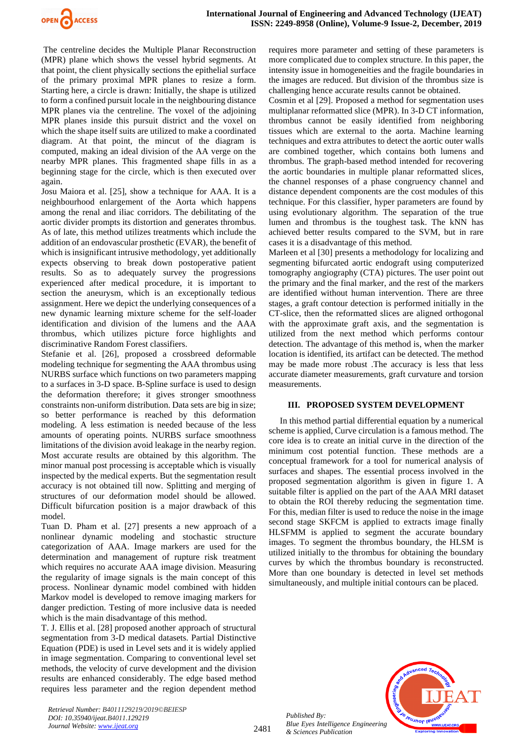

The centreline decides the Multiple Planar Reconstruction (MPR) plane which shows the vessel hybrid segments. At that point, the client physically sections the epithelial surface of the primary proximal MPR planes to resize a form. Starting here, a circle is drawn: Initially, the shape is utilized to form a confined pursuit locale in the neighbouring distance MPR planes via the centreline. The voxel of the adjoining MPR planes inside this pursuit district and the voxel on which the shape itself suits are utilized to make a coordinated diagram. At that point, the mincut of the diagram is computed, making an ideal division of the AA verge on the nearby MPR planes. This fragmented shape fills in as a beginning stage for the circle, which is then executed over again.

Josu Maiora et al. [25], show a technique for AAA. It is a neighbourhood enlargement of the Aorta which happens among the renal and iliac corridors. The debilitating of the aortic divider prompts its distortion and generates thrombus. As of late, this method utilizes treatments which include the addition of an endovascular prosthetic (EVAR), the benefit of which is insignificant intrusive methodology, yet additionally expects observing to break down postoperative patient results. So as to adequately survey the progressions experienced after medical procedure, it is important to section the aneurysm, which is an exceptionally tedious assignment. Here we depict the underlying consequences of a new dynamic learning mixture scheme for the self-loader identification and division of the lumens and the AAA thrombus, which utilizes picture force highlights and discriminative Random Forest classifiers.

Stefanie et al. [26], proposed a crossbreed deformable modeling technique for segmenting the AAA thrombus using NURBS surface which functions on two parameters mapping to a surfaces in 3-D space. B-Spline surface is used to design the deformation therefore; it gives stronger smoothness constraints non-uniform distribution. Data sets are big in size; so better performance is reached by this deformation modeling. A less estimation is needed because of the less amounts of operating points. NURBS surface smoothness limitations of the division avoid leakage in the nearby region. Most accurate results are obtained by this algorithm. The minor manual post processing is acceptable which is visually inspected by the medical experts. But the segmentation result accuracy is not obtained till now. Splitting and merging of structures of our deformation model should be allowed. Difficult bifurcation position is a major drawback of this model.

Tuan D. Pham et al. [27] presents a new approach of a nonlinear dynamic modeling and stochastic structure categorization of AAA. Image markers are used for the determination and management of rupture risk treatment which requires no accurate AAA image division. Measuring the regularity of image signals is the main concept of this process. Nonlinear dynamic model combined with hidden Markov model is developed to remove imaging markers for danger prediction. Testing of more inclusive data is needed which is the main disadvantage of this method.

T. J. Ellis et al. [28] proposed another approach of structural segmentation from 3-D medical datasets. Partial Distinctive Equation (PDE) is used in Level sets and it is widely applied in image segmentation. Comparing to conventional level set methods, the velocity of curve development and the division results are enhanced considerably. The edge based method requires less parameter and the region dependent method requires more parameter and setting of these parameters is more complicated due to complex structure. In this paper, the intensity issue in homogeneities and the fragile boundaries in the images are reduced. But division of the thrombus size is challenging hence accurate results cannot be obtained.

Cosmin et al [29]. Proposed a method for segmentation uses multiplanar reformatted slice (MPR). In 3-D CT information, thrombus cannot be easily identified from neighboring tissues which are external to the aorta. Machine learning techniques and extra attributes to detect the aortic outer walls are combined together, which contains both lumens and thrombus. The graph-based method intended for recovering the aortic boundaries in multiple planar reformatted slices, the channel responses of a phase congruency channel and distance dependent components are the cost modules of this technique. For this classifier, hyper parameters are found by using evolutionary algorithm. The separation of the true lumen and thrombus is the toughest task. The kNN has achieved better results compared to the SVM, but in rare cases it is a disadvantage of this method.

Marleen et al [30] presents a methodology for localizing and segmenting bifurcated aortic endograft using computerized tomography angiography (CTA) pictures. The user point out the primary and the final marker, and the rest of the markers are identified without human intervention. There are three stages, a graft contour detection is performed initially in the CT-slice, then the reformatted slices are aligned orthogonal with the approximate graft axis, and the segmentation is utilized from the next method which performs contour detection. The advantage of this method is, when the marker location is identified, its artifact can be detected. The method may be made more robust .The accuracy is less that less accurate diameter measurements, graft curvature and torsion measurements.

#### **III. PROPOSED SYSTEM DEVELOPMENT**

 In this method partial differential equation by a numerical scheme is applied, Curve circulation is a famous method. The core idea is to create an initial curve in the direction of the minimum cost potential function. These methods are a conceptual framework for a tool for numerical analysis of surfaces and shapes. The essential process involved in the proposed segmentation algorithm is given in figure 1. A suitable filter is applied on the part of the AAA MRI dataset to obtain the ROI thereby reducing the segmentation time. For this, median filter is used to reduce the noise in the image second stage SKFCM is applied to extracts image finally HLSFMM is applied to segment the accurate boundary images. To segment the thrombus boundary, the HLSM is utilized initially to the thrombus for obtaining the boundary curves by which the thrombus boundary is reconstructed. More than one boundary is detected in level set methods simultaneously, and multiple initial contours can be placed.



*Retrieval Number: B4011129219/2019©BEIESP DOI: 10.35940/ijeat.B4011.129219 Journal Website[: www.ijeat.org](http://www.ijeat.org/)*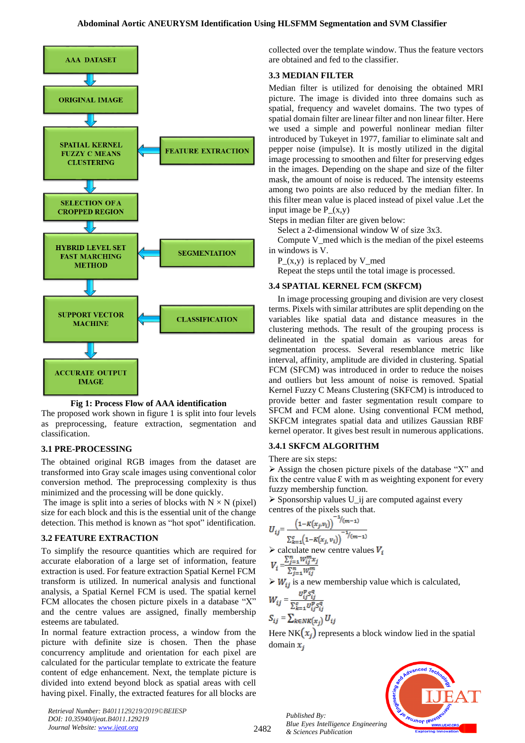

**Fig 1: Process Flow of AAA identification**

The proposed work shown in figure 1 is split into four levels as preprocessing, feature extraction, segmentation and classification.

## **3.1 PRE-PROCESSING**

The obtained original RGB images from the dataset are transformed into Gray scale images using conventional color conversion method. The preprocessing complexity is thus minimized and the processing will be done quickly.

The image is split into a series of blocks with  $N \times N$  (pixel) size for each block and this is the essential unit of the change detection. This method is known as "hot spot" identification.

## **3.2 FEATURE EXTRACTION**

To simplify the resource quantities which are required for accurate elaboration of a large set of information, feature extraction is used. For feature extraction Spatial Kernel FCM transform is utilized. In numerical analysis and functional analysis, a Spatial Kernel FCM is used. The spatial kernel FCM allocates the chosen picture pixels in a database "X" and the centre values are assigned, finally membership esteems are tabulated.

In normal feature extraction process, a window from the picture with definite size is chosen. Then the phase concurrency amplitude and orientation for each pixel are calculated for the particular template to extricate the feature content of edge enhancement. Next, the template picture is divided into extend beyond block as spatial areas with cell having pixel. Finally, the extracted features for all blocks are

*Retrieval Number: B4011129219/2019©BEIESP DOI: 10.35940/ijeat.B4011.129219 Journal Website[: www.ijeat.org](http://www.ijeat.org/)*

collected over the template window. Thus the feature vectors are obtained and fed to the classifier.

# **3.3 MEDIAN FILTER**

Median filter is utilized for denoising the obtained MRI picture. The image is divided into three domains such as spatial, frequency and wavelet domains. The two types of spatial domain filter are linear filter and non linear filter. Here we used a simple and powerful nonlinear median filter introduced by Tukeyet in 1977, familiar to eliminate salt and pepper noise (impulse). It is mostly utilized in the digital image processing to smoothen and filter for preserving edges in the images. Depending on the shape and size of the filter mask, the amount of noise is reduced. The intensity esteems among two points are also reduced by the median filter. In this filter mean value is placed instead of pixel value .Let the input image be  $P(x,y)$ 

Steps in median filter are given below:

Select a 2-dimensional window W of size 3x3.

Compute V\_med which is the median of the pixel esteems in windows is V.

P $(x,y)$  is replaced by V med

Repeat the steps until the total image is processed.

## **3.4 SPATIAL KERNEL FCM (SKFCM)**

In image processing grouping and division are very closest terms. Pixels with similar attributes are split depending on the variables like spatial data and distance measures in the clustering methods. The result of the grouping process is delineated in the spatial domain as various areas for segmentation process. Several resemblance metric like interval, affinity, amplitude are divided in clustering. Spatial FCM (SFCM) was introduced in order to reduce the noises and outliers but less amount of noise is removed. Spatial Kernel Fuzzy C Means Clustering (SKFCM) is introduced to provide better and faster segmentation result compare to SFCM and FCM alone. Using conventional FCM method, SKFCM integrates spatial data and utilizes Gaussian RBF kernel operator. It gives best result in numerous applications.

#### **3.4.1 SKFCM ALGORITHM**

There are six steps:

➢ Assign the chosen picture pixels of the database "X" and fix the centre value  $\epsilon$  with m as weighting exponent for every fuzzy membership function.

 $\triangleright$  Sponsorship values U ij are computed against every centres of the pixels such that.

$$
U_{ij} = \frac{\left(1 - K(x_j, v_i)\right)^{-1/(m-1)}}{\sum_{k=1}^{c} \left(1 - K(x_j, v_i)\right)^{-1/(m-1)}}
$$

 $\triangleright$  calculate new centre values  $V_i$ 

$$
V_i = \frac{\sum_{j=1}^n W_{ij}^m x_j}{\sum_{j=1}^n W_{ij}^m}
$$

 $\triangleright W_{ij}$  is a new membership value which is calculated,

$$
W_{ij} = \frac{U_{ij}^{\mathcal{B}} S_{ij}^{\mathcal{S}}}{\sum_{k=1}^{c} U_{ij}^{\mathcal{B}} S_{ij}^{\mathcal{G}}}
$$

$$
S_{ij} = \sum_{k \in NR(x_j)} U_{ij}
$$

2482

Here NK $(x_i)$  represents a block window lied in the spatial domain  $x_i$ 

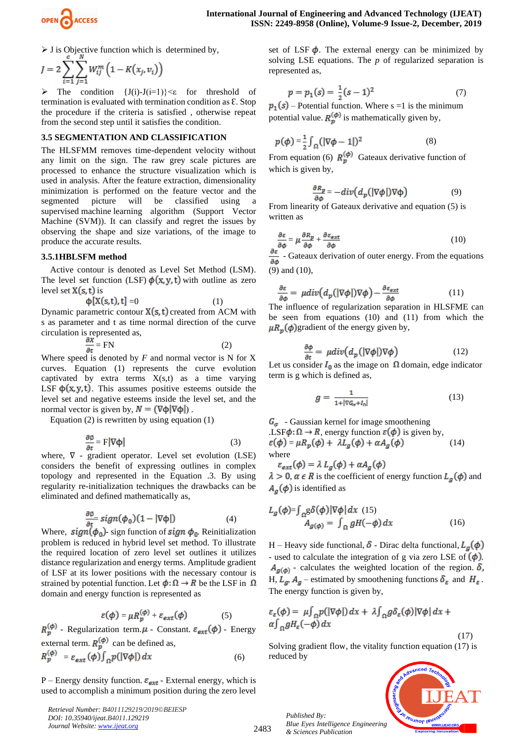

 $\triangleright$  J is Objective function which is determined by,

$$
J = 2\sum_{i=1}^{v} \sum_{j=1}^{n} W_{ij}^{m} (1 - K(x_j, v_i))
$$

 $\triangleright$  The condition  $\{J(i)-J(i=1)\}\leq \epsilon$  for threshold of termination is evaluated with termination condition as  $E$ . Stop the procedure if the criteria is satisfied , otherwise repeat from the second step until it satisfies the condition.

#### **3.5 SEGMENTATION AND CLASSIFICATION**

The HLSFMM removes time-dependent velocity without any limit on the sign. The raw grey scale pictures are processed to enhance the structure visualization which is used in analysis. After the feature extraction, dimensionality minimization is performed on the feature vector and the segmented picture will be classified using a segmented picture will be classified using a supervised machine learning algorithm (Support Vector Machine (SVM)). It can classify and regret the issues by observing the shape and size variations, of the image to produce the accurate results.

#### **3.5.1HBLSFM method**

Active contour is denoted as Level Set Method (LSM). The level set function (LSF)  $\phi(x, y, t)$  with outline as zero level set  $X(s, t)$  is

$$
\Phi[X(s,t),t] = 0
$$
 (1)  
Dynamic parametric contour X(s, t) created from ACM with  
s as parameter and t as time normal direction of the curve  
circulation is represented as,

$$
\frac{\partial X}{\partial t} = FN
$$
 (2)

Where speed is denoted by  $F$  and normal vector is  $N$  for  $X$ curves. Equation (1) represents the curve evolution captivated by extra terms  $X(s,t)$  as a time varying LSF  $\phi(x, y, t)$ . This assumes positive esteems outside the level set and negative esteems inside the level set, and the normal vector is given by,  $N = (\nabla \phi | \nabla \phi)$ .

Equation (2) is rewritten by using equation (1)

$$
\frac{\partial \phi}{\partial t} = F|\nabla \phi| \tag{3}
$$

where, ∇ - gradient operator. Level set evolution (LSE) considers the benefit of expressing outlines in complex topology and represented in the Equation .3. By using regularity re-initialization techniques the drawbacks can be eliminated and defined mathematically as,

$$
\frac{\partial \phi}{\partial t} = sign(\phi_0)(1 - |\nabla \phi|) \tag{4}
$$

Where,  $sign(\phi_0)$ - sign function of  $sign \phi_0$ . Reinitialization problem is reduced in hybrid level set method. To illustrate the required location of zero level set outlines it utilizes distance regularization and energy terms. Amplitude gradient of LSF at its lower positions with the necessary contour is strained by potential function. Let  $\phi: \Omega \to R$  be the LSF in  $\Omega$ domain and energy function is represented as

$$
\varepsilon(\phi) = \mu R_p^{(\phi)} + \varepsilon_{ext}(\phi) \tag{5}
$$

 $R_{p}^{(\phi)}$  - Regularization term.  $\mu$  - Constant.  $\varepsilon_{ext}(\phi)$  - Energy external term.  $R_n^{(\phi)}$  can be defined as,

$$
R_p^{(\phi)} = \varepsilon_{ext}(\phi) \int_{\Omega} p(|\nabla \phi|) dx \tag{6}
$$

P – Energy density function.  $\varepsilon_{ext}$  - External energy, which is used to accomplish a minimum position during the zero level

*Retrieval Number: B4011129219/2019©BEIESP DOI: 10.35940/ijeat.B4011.129219 Journal Website[: www.ijeat.org](http://www.ijeat.org/)*

set of LSF  $\phi$ . The external energy can be minimized by solving LSE equations. The *p* of regularized separation is represented as,

$$
p = p_1(s) = \frac{1}{2}(s-1)^2\tag{7}
$$

 $p_1(s)$  – Potential function. Where s =1 is the minimum potential value.  $R_n^{(\phi)}$  is mathematically given by,

$$
p(\phi) = \frac{1}{2} \int_{\Omega} (|\nabla \phi - 1|)^2 \tag{8}
$$

From equation (6)  $R_p^{(\phi)}$  Gateaux derivative function of which is given by,

$$
\frac{\partial R_p}{\partial \phi} = -div \Big( d_p \big( |\nabla \phi| \big) \nabla \phi \Big) \tag{9}
$$

From linearity of Gateaux derivative and equation (5) is written as

$$
\frac{\partial \varepsilon}{\partial \phi} = \mu \frac{\partial R_p}{\partial \phi} + \frac{\partial \varepsilon_{\text{ext}}}{\partial \phi} \tag{10}
$$

 $\frac{\partial \varepsilon}{\partial \phi}$  - Gateaux derivation of outer energy. From the equations (9) and (10),

$$
\frac{\partial \varepsilon}{\partial \phi} = \mu \operatorname{div} (d_p (|\nabla \phi|) \nabla \phi) - \frac{\partial \varepsilon_{\text{ext}}}{\partial \phi} \tag{11}
$$

The influence of regularization separation in HLSFME can be seen from equations (10) and (11) from which the  $\mu R_p(\phi)$  gradient of the energy given by,

$$
\frac{\partial \phi}{\partial t} = \mu \operatorname{div} \bigl( d_p \left( |\nabla \phi| \right) \nabla \phi \bigr) \tag{12}
$$

Let us consider  $I_0$  as the image on  $\Omega$  domain, edge indicator term is g which is defined as,

$$
g = \frac{1}{1 + |\nabla G_{\sigma} + I_0|} \tag{13}
$$

 $G_{\sigma}$  - Gaussian kernel for image smoothening .LSF $\phi: \Omega \to R$ , energy function  $\varepsilon(\phi)$  is given by,  $\varepsilon(\phi) = \mu R_p(\phi) + \lambda L_q(\phi) + \alpha A_q(\phi)$  (14) where

$$
\varepsilon_{ext}(\phi) = \lambda L_g(\phi) + \alpha A_g(\phi)
$$
  
\n
$$
\lambda > 0, \alpha \in R \text{ is the coefficient of energy function } L_g(\phi) \text{ and }
$$
  
\n
$$
A_g(\phi) \text{ is identified as}
$$

$$
L_g(\phi) = \int_{\Omega} g \delta(\phi) |\nabla \phi| dx
$$
 (15)  

$$
A_{g(\phi)} = \int_{\Omega} g H(-\phi) dx
$$
 (16)

H – Heavy side functional,  $\delta$  - Dirac delta functional,  $L_{\alpha}(\phi)$ - used to calculate the integration of g via zero LSE of  $(\phi)$ .  $A_{g(\phi)}$  - calculates the weighted location of the region.  $\delta$ , H,  $L_g$ ,  $A_g$  – estimated by smoothening functions  $\delta_{\varepsilon}$  and  $H_{\varepsilon}$ . The energy function is given by,

$$
\varepsilon_{\varepsilon}(\phi) = \mu \int_{\Omega} p(|\nabla \phi|) dx + \lambda \int_{\Omega} g \delta_{\varepsilon}(\phi) |\nabla \phi| dx + \alpha \int_{\Omega} g H_{\varepsilon}(-\phi) dx
$$

$$
(17)
$$

Solving gradient flow, the vitality function equation (17) is reduced by



*Published By: Blue Eyes Intelligence Engineering & Sciences Publication* 

2483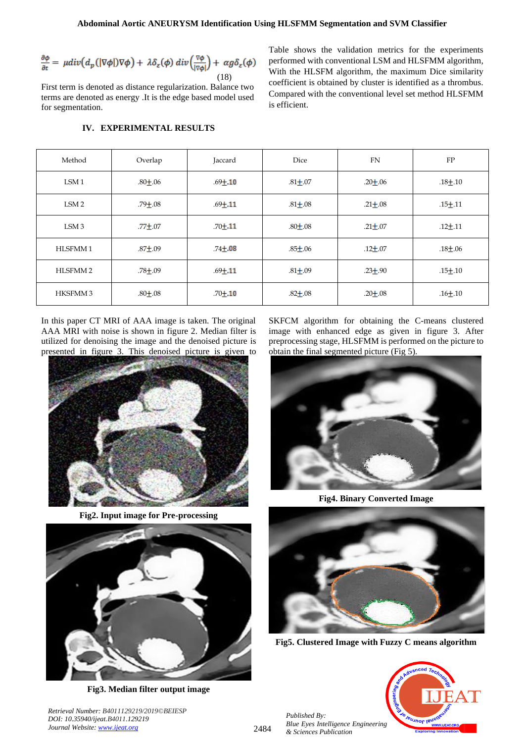$$
\frac{\partial \phi}{\partial t} = \mu \text{div}\big(d_p\left(|\nabla \phi|\right) \nabla \phi\big) + \lambda \delta_{\varepsilon}(\phi) \, \text{div}\Big(\frac{\nabla \phi}{|\nabla \phi|}\Big) + \alpha g \delta_{\varepsilon}(\phi) \tag{18}
$$

First term is denoted as distance regularization. Balance two terms are denoted as energy .It is the edge based model used for segmentation.

Table shows the validation metrics for the experiments performed with conventional LSM and HLSFMM algorithm, With the HLSFM algorithm, the maximum Dice similarity coefficient is obtained by cluster is identified as a thrombus. Compared with the conventional level set method HLSFMM is efficient.

| Method              | Overlap     | Jaccard     | Dice          | <b>FN</b>     | FP            |
|---------------------|-------------|-------------|---------------|---------------|---------------|
| LSM <sub>1</sub>    | $.80 + .06$ | $.69 + .10$ | $.81 + .07$   | $.20 + .06$   | $.18 + .10$   |
| LSM <sub>2</sub>    | $.79 + .08$ | $.69 + .11$ | $.81 \pm .08$ | $.21 \pm .08$ | $.15 \pm 11$  |
| LSM <sub>3</sub>    | $.77 + .07$ | $.70 + .11$ | $.80 + .08$   | $.21 + .07$   | $.12 + .11$   |
| HLSFMM1             | $.87 + .09$ | $.74 + .08$ | $.85 \pm .06$ | $.12 \pm .07$ | $.18 \pm .06$ |
| HLSFMM <sub>2</sub> | $.78 + .09$ | $.69 + .11$ | $.81 + .09$   | $.23 + .90$   | $.15 \pm .10$ |
| <b>HKSFMM3</b>      | $.80 + .08$ | $.70 + .10$ | $.82 + .08$   | $.20 \pm .08$ | $.16 + .10$   |

# **IV. EXPERIMENTAL RESULTS**

In this paper CT MRI of AAA image is taken. The original AAA MRI with noise is shown in figure 2. Median filter is utilized for denoising the image and the denoised picture is presented in figure 3. This denoised picture is given to



**Fig2. Input image for Pre-processing**



**Fig3. Median filter output image**

*Retrieval Number: B4011129219/2019©BEIESP*

*DOI: 10.35940/ijeat.B4011.129219 Journal Website[: www.ijeat.org](http://www.ijeat.org/)*

SKFCM algorithm for obtaining the C-means clustered image with enhanced edge as given in figure 3. After preprocessing stage, HLSFMM is performed on the picture to obtain the final segmented picture (Fig 5).



**Fig4. Binary Converted Image**



**Fig5. Clustered Image with Fuzzy C means algorithm**



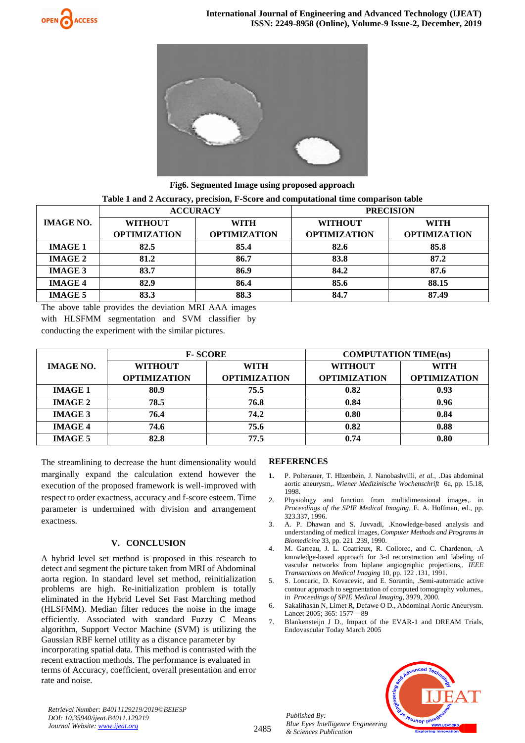



**Fig6. Segmented Image using proposed approach**

|                  | <b>ACCURACY</b>     |                     | <b>PRECISION</b>    |                     |  |
|------------------|---------------------|---------------------|---------------------|---------------------|--|
| <b>IMAGE NO.</b> | <b>WITHOUT</b>      | <b>WITH</b>         | <b>WITHOUT</b>      | <b>WITH</b>         |  |
|                  | <b>OPTIMIZATION</b> | <b>OPTIMIZATION</b> | <b>OPTIMIZATION</b> | <b>OPTIMIZATION</b> |  |
| <b>IMAGE 1</b>   | 82.5                | 85.4                | 82.6                | 85.8                |  |
| <b>IMAGE 2</b>   | 81.2                | 86.7                | 83.8                | 87.2                |  |
| <b>IMAGE 3</b>   | 83.7                | 86.9                | 84.2                | 87.6                |  |
| <b>IMAGE 4</b>   | 82.9                | 86.4                | 85.6                | 88.15               |  |
| <b>IMAGE 5</b>   | 83.3                | 88.3                | 84.7                | 87.49               |  |

The above table provides the deviation MRI AAA images with HLSFMM segmentation and SVM classifier by conducting the experiment with the similar pictures.

|                  | <b>F-SCORE</b>      |                     | <b>COMPUTATION TIME(ns)</b> |                     |  |
|------------------|---------------------|---------------------|-----------------------------|---------------------|--|
| <b>IMAGE NO.</b> | <b>WITHOUT</b>      | <b>WITH</b>         | <b>WITHOUT</b>              | <b>WITH</b>         |  |
|                  | <b>OPTIMIZATION</b> | <b>OPTIMIZATION</b> | <b>OPTIMIZATION</b>         | <b>OPTIMIZATION</b> |  |
| <b>IMAGE 1</b>   | 80.9                | 75.5                | 0.82                        | 0.93                |  |
| <b>IMAGE 2</b>   | 78.5                | 76.8                | 0.84                        | 0.96                |  |
| <b>IMAGE 3</b>   | 76.4                | 74.2                | 0.80                        | 0.84                |  |
| <b>IMAGE 4</b>   | 74.6                | 75.6                | 0.82                        | 0.88                |  |
| <b>IMAGE 5</b>   | 82.8                | 77.5                | 0.74                        | 0.80                |  |

The streamlining to decrease the hunt dimensionality would marginally expand the calculation extend however the execution of the proposed framework is well-improved with respect to order exactness, accuracy and f-score esteem. Time parameter is undermined with division and arrangement exactness.

## **V. CONCLUSION**

A hybrid level set method is proposed in this research to detect and segment the picture taken from MRI of Abdominal aorta region. In standard level set method, reinitialization problems are high. Re-initialization problem is totally eliminated in the Hybrid Level Set Fast Marching method (HLSFMM). Median filter reduces the noise in the image efficiently. Associated with standard Fuzzy C Means algorithm, Support Vector Machine (SVM) is utilizing the Gaussian RBF kernel utility as a distance parameter by incorporating spatial data. This method is contrasted with the recent extraction methods. The performance is evaluated in terms of Accuracy, coefficient, overall presentation and error rate and noise.

### **REFERENCES**

- **1.** P. Polterauer, T. Hlzenbein, J. Nanobashvilli, *et al.*, .Das abdominal aortic aneurysm,. *Wiener Medizinische Wochenschrift* 6a, pp. 15.18, 1998.
- 2. Physiology and function from multidimensional images,. in *Proceedings of the SPIE Medical Imaging*, E. A. Hoffman, ed., pp. 323.337, 1996.
- 3. A. P. Dhawan and S. Juvvadi, .Knowledge-based analysis and understanding of medical images, *Computer Methods and Programs in Biomedicine* 33, pp. 221 .239, 1990.
- 4. M. Garreau, J. L. Coatrieux, R. Collorec, and C. Chardenon, .A knowledge-based approach for 3-d reconstruction and labeling of vascular networks from biplane angiographic projections,. *IEEE Transactions on Medical Imaging* 10, pp. 122 .131, 1991.
- 5. S. Loncaric, D. Kovacevic, and E. Sorantin, .Semi-automatic active contour approach to segmentation of computed tomography volumes,. in *Proceedings of SPIE Medical Imaging*, 3979, 2000.
- 6. Sakalihasan N, Limet R, Defawe O D., Abdominal Aortic Aneurysm. Lancet 2005; 365: 1577––89
- 7. Blankensteijn J D., Impact of the EVAR-1 and DREAM Trials, Endovascular Today March 2005



*Retrieval Number: B4011129219/2019©BEIESP DOI: 10.35940/ijeat.B4011.129219 Journal Website[: www.ijeat.org](http://www.ijeat.org/)*